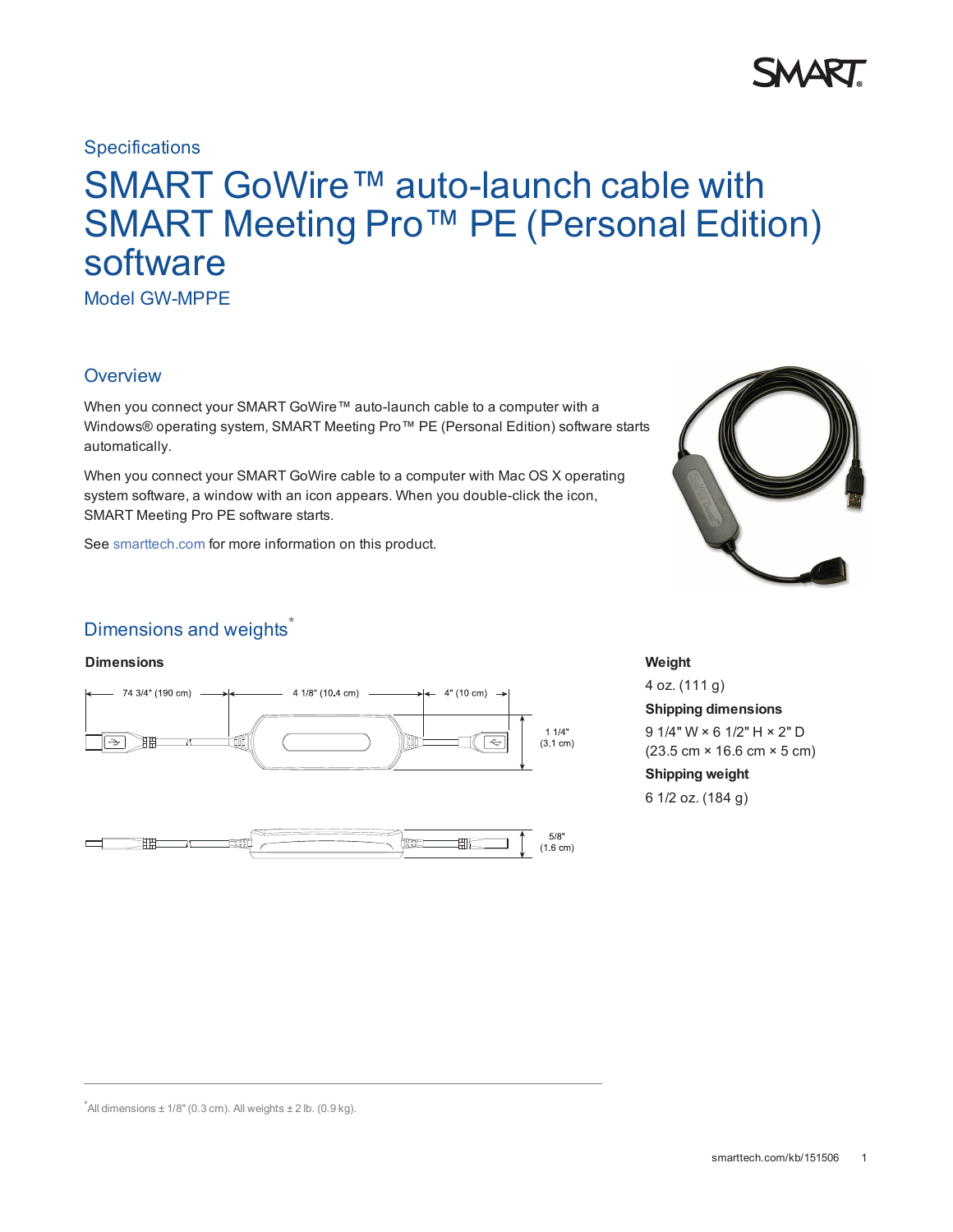

### **Specifications**

# SMART GoWire™ auto-launch cable with SMART Meeting Pro<sup>™</sup> PE (Personal Edition) software

Model GW-MPPE

## **Overview**

When you connect your SMART GoWire™ auto-launch cable to a computer with a Windows® operating system, SMART Meeting Pro™ PE (Personal Edition) software starts automatically.

When you connect your SMART GoWire cable to a computer with Mac OS X operating system software, a window with an icon appears. When you double-click the icon, SMART Meeting Pro PE software starts.

See [smarttech.com](http://www.smarttech.com/) for more information on this product.



# Dimensions and weights<sup>\*</sup>

#### **Dimensions Weight**





4 oz. (111 g) **Shipping dimensions** 9 1/4" W × 6 1/2" H × 2" D (23.5 cm × 16.6 cm × 5 cm) **Shipping weight** 6 1/2 oz. (184 g)

 $*$ All dimensions  $\pm$  1/8" (0.3 cm). All weights  $\pm$  2 lb. (0.9 kg).